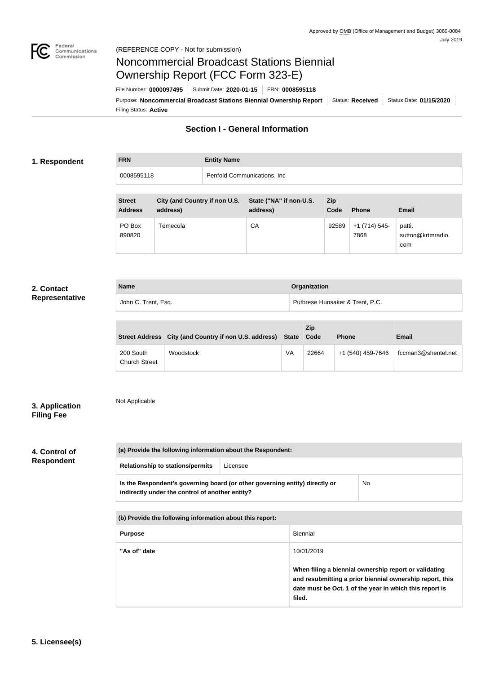

# Noncommercial Broadcast Stations Biennial Ownership Report (FCC Form 323-E)

Filing Status: **Active** Purpose: Noncommercial Broadcast Stations Biennial Ownership Report | Status: Received | Status Date: 01/15/2020 File Number: **0000097495** Submit Date: **2020-01-15** FRN: **0008595118**

# **Section I - General Information**

#### **1. Respondent**

| <b>FRN</b> | <b>Entity Name</b>          |  |
|------------|-----------------------------|--|
| 0008595118 | Penfold Communications, Inc |  |
|            |                             |  |

| <b>Street</b><br><b>Address</b> | City (and Country if non U.S.<br>address) | State ("NA" if non-U.S.<br>address) | <b>Zip</b><br>Code | <b>Phone</b>         | Email                              |
|---------------------------------|-------------------------------------------|-------------------------------------|--------------------|----------------------|------------------------------------|
| PO Box<br>890820                | Temecula                                  | CA                                  | 92589              | $+1(714)545$<br>7868 | patti.<br>sutton@krtmradio.<br>com |

#### **2. Contact Representative**

|  | <b>Name</b>         |                                 | Organization |  |
|--|---------------------|---------------------------------|--------------|--|
|  | John C. Trent, Esq. | Putbrese Hunsaker & Trent, P.C. |              |  |

|                                   | Street Address City (and Country if non U.S. address) State Code |    | <b>Zip</b> | <b>Phone</b>      | Email               |
|-----------------------------------|------------------------------------------------------------------|----|------------|-------------------|---------------------|
| 200 South<br><b>Church Street</b> | Woodstock                                                        | VA | 22664      | +1 (540) 459-7646 | fccman3@shentel.net |

#### **3. Application Filing Fee**

## Not Applicable

# **4. Control of Respondent**

| (a) Provide the following information about the Respondent:                                                                    |          |    |  |
|--------------------------------------------------------------------------------------------------------------------------------|----------|----|--|
| <b>Relationship to stations/permits</b>                                                                                        | Licensee |    |  |
| Is the Respondent's governing board (or other governing entity) directly or<br>indirectly under the control of another entity? |          | No |  |

| (b) Provide the following information about this report: |                                                                                                                                                                                        |  |
|----------------------------------------------------------|----------------------------------------------------------------------------------------------------------------------------------------------------------------------------------------|--|
| <b>Purpose</b>                                           | Biennial                                                                                                                                                                               |  |
| "As of" date                                             | 10/01/2019                                                                                                                                                                             |  |
|                                                          | When filing a biennial ownership report or validating<br>and resubmitting a prior biennial ownership report, this<br>date must be Oct. 1 of the year in which this report is<br>filed. |  |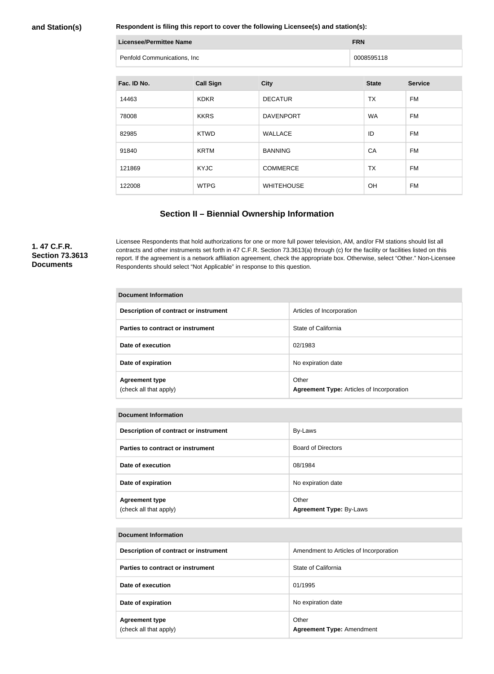#### **and Station(s)**

**Respondent is filing this report to cover the following Licensee(s) and station(s):**

| Licensee/Permittee Name     | <b>FRN</b> |  |
|-----------------------------|------------|--|
| Penfold Communications, Inc | 0008595118 |  |

| Fac. ID No. | <b>Call Sign</b> | <b>City</b>       | <b>State</b> | <b>Service</b> |
|-------------|------------------|-------------------|--------------|----------------|
| 14463       | <b>KDKR</b>      | <b>DECATUR</b>    | <b>TX</b>    | FM             |
| 78008       | <b>KKRS</b>      | <b>DAVENPORT</b>  | WA           | FM             |
| 82985       | <b>KTWD</b>      | <b>WALLACE</b>    | ID           | FM             |
| 91840       | <b>KRTM</b>      | <b>BANNING</b>    | CA           | FM             |
| 121869      | <b>KYJC</b>      | <b>COMMERCE</b>   | <b>TX</b>    | FM             |
| 122008      | <b>WTPG</b>      | <b>WHITEHOUSE</b> | <b>OH</b>    | FM             |

### **Section II – Biennial Ownership Information**

#### **1. 47 C.F.R. Section 73.3613 Documents**

Licensee Respondents that hold authorizations for one or more full power television, AM, and/or FM stations should list all contracts and other instruments set forth in 47 C.F.R. Section 73.3613(a) through (c) for the facility or facilities listed on this report. If the agreement is a network affiliation agreement, check the appropriate box. Otherwise, select "Other." Non-Licensee Respondents should select "Not Applicable" in response to this question.

| <b>Document Information</b>                     |                                                           |  |  |  |
|-------------------------------------------------|-----------------------------------------------------------|--|--|--|
| Description of contract or instrument           | Articles of Incorporation                                 |  |  |  |
| Parties to contract or instrument               | State of California                                       |  |  |  |
| Date of execution                               | 02/1983                                                   |  |  |  |
| Date of expiration                              | No expiration date                                        |  |  |  |
| <b>Agreement type</b><br>(check all that apply) | Other<br><b>Agreement Type: Articles of Incorporation</b> |  |  |  |

|  | <b>Document Information</b>                     |                                         |  |
|--|-------------------------------------------------|-----------------------------------------|--|
|  | Description of contract or instrument           | By-Laws                                 |  |
|  | Parties to contract or instrument               | <b>Board of Directors</b>               |  |
|  | Date of execution                               | 08/1984                                 |  |
|  | Date of expiration                              | No expiration date                      |  |
|  | <b>Agreement type</b><br>(check all that apply) | Other<br><b>Agreement Type: By-Laws</b> |  |

# **Document Information Description of contract or instrument Amendment to Articles of Incorporation Parties to contract or instrument Parties to California Date of execution** 01/1995 **Date of expiration No expiration**  $\blacksquare$  No expiration date **Agreement type** (check all that apply) Other **Agreement Type:** Amendment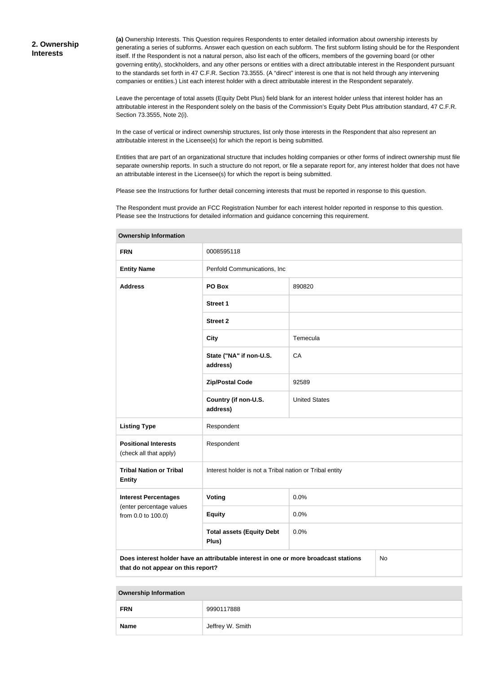**(a)** Ownership Interests. This Question requires Respondents to enter detailed information about ownership interests by generating a series of subforms. Answer each question on each subform. The first subform listing should be for the Respondent itself. If the Respondent is not a natural person, also list each of the officers, members of the governing board (or other governing entity), stockholders, and any other persons or entities with a direct attributable interest in the Respondent pursuant to the standards set forth in 47 C.F.R. Section 73.3555. (A "direct" interest is one that is not held through any intervening companies or entities.) List each interest holder with a direct attributable interest in the Respondent separately.

Leave the percentage of total assets (Equity Debt Plus) field blank for an interest holder unless that interest holder has an attributable interest in the Respondent solely on the basis of the Commission's Equity Debt Plus attribution standard, 47 C.F.R. Section 73.3555, Note 2(i).

In the case of vertical or indirect ownership structures, list only those interests in the Respondent that also represent an attributable interest in the Licensee(s) for which the report is being submitted.

Entities that are part of an organizational structure that includes holding companies or other forms of indirect ownership must file separate ownership reports. In such a structure do not report, or file a separate report for, any interest holder that does not have an attributable interest in the Licensee(s) for which the report is being submitted.

Please see the Instructions for further detail concerning interests that must be reported in response to this question.

The Respondent must provide an FCC Registration Number for each interest holder reported in response to this question. Please see the Instructions for detailed information and guidance concerning this requirement.

| <b>FRN</b>                                                                                                                       | 0008595118                                              |                      |  |  |
|----------------------------------------------------------------------------------------------------------------------------------|---------------------------------------------------------|----------------------|--|--|
| <b>Entity Name</b>                                                                                                               | Penfold Communications, Inc.                            |                      |  |  |
| <b>Address</b>                                                                                                                   | PO Box                                                  | 890820               |  |  |
|                                                                                                                                  | <b>Street 1</b>                                         |                      |  |  |
|                                                                                                                                  | <b>Street 2</b>                                         |                      |  |  |
|                                                                                                                                  | <b>City</b>                                             | Temecula             |  |  |
|                                                                                                                                  | State ("NA" if non-U.S.<br>address)                     | CA                   |  |  |
|                                                                                                                                  | <b>Zip/Postal Code</b>                                  | 92589                |  |  |
|                                                                                                                                  | Country (if non-U.S.<br>address)                        | <b>United States</b> |  |  |
| <b>Listing Type</b>                                                                                                              | Respondent                                              |                      |  |  |
| <b>Positional Interests</b><br>(check all that apply)                                                                            | Respondent                                              |                      |  |  |
| <b>Tribal Nation or Tribal</b><br><b>Entity</b>                                                                                  | Interest holder is not a Tribal nation or Tribal entity |                      |  |  |
| <b>Interest Percentages</b>                                                                                                      | Voting                                                  | 0.0%                 |  |  |
| (enter percentage values<br>from 0.0 to 100.0)                                                                                   | <b>Equity</b>                                           | 0.0%                 |  |  |
|                                                                                                                                  | <b>Total assets (Equity Debt</b><br>Plus)               | 0.0%                 |  |  |
| Does interest holder have an attributable interest in one or more broadcast stations<br>No<br>that do not appear on this report? |                                                         |                      |  |  |

#### **Ownership Information**

| <b>FRN</b>  | 9990117888       |
|-------------|------------------|
| <b>Name</b> | Jeffrey W. Smith |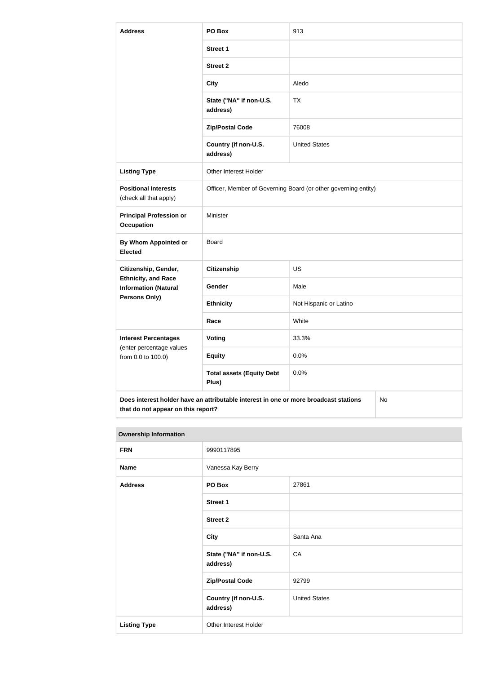| <b>Address</b>                                                                             | PO Box                                                         | 913                    |  |
|--------------------------------------------------------------------------------------------|----------------------------------------------------------------|------------------------|--|
|                                                                                            | <b>Street 1</b>                                                |                        |  |
|                                                                                            | <b>Street 2</b>                                                |                        |  |
|                                                                                            | <b>City</b>                                                    | Aledo                  |  |
|                                                                                            | State ("NA" if non-U.S.<br>address)                            | <b>TX</b>              |  |
|                                                                                            | <b>Zip/Postal Code</b>                                         | 76008                  |  |
|                                                                                            | Country (if non-U.S.<br>address)                               | <b>United States</b>   |  |
| <b>Listing Type</b>                                                                        | Other Interest Holder                                          |                        |  |
| <b>Positional Interests</b><br>(check all that apply)                                      | Officer, Member of Governing Board (or other governing entity) |                        |  |
| <b>Principal Profession or</b><br><b>Occupation</b>                                        | Minister                                                       |                        |  |
| By Whom Appointed or<br><b>Elected</b>                                                     | <b>Board</b>                                                   |                        |  |
| Citizenship, Gender,                                                                       | <b>Citizenship</b>                                             | <b>US</b>              |  |
| <b>Ethnicity, and Race</b><br><b>Information (Natural</b>                                  | Gender                                                         | Male                   |  |
| Persons Only)                                                                              | <b>Ethnicity</b>                                               | Not Hispanic or Latino |  |
|                                                                                            | Race                                                           | White                  |  |
| <b>Interest Percentages</b><br>(enter percentage values                                    | Voting                                                         | 33.3%                  |  |
| from 0.0 to 100.0)                                                                         | <b>Equity</b>                                                  | 0.0%                   |  |
|                                                                                            | <b>Total assets (Equity Debt</b><br>Plus)                      | 0.0%                   |  |
| Does interest holder have an attributable interest in one or more broadcast stations<br>No |                                                                |                        |  |

**Ownership Information FRN** 9990117895 **Name Vanessa Kay Berry Address PO Box** 27861 **Street 1 Street 2 City** Santa Ana **State ("NA" if non-U.S. address)** CA **Zip/Postal Code** 92799 **Country (if non-U.S. address)** United States **Listing Type Other Interest Holder** 

**that do not appear on this report?**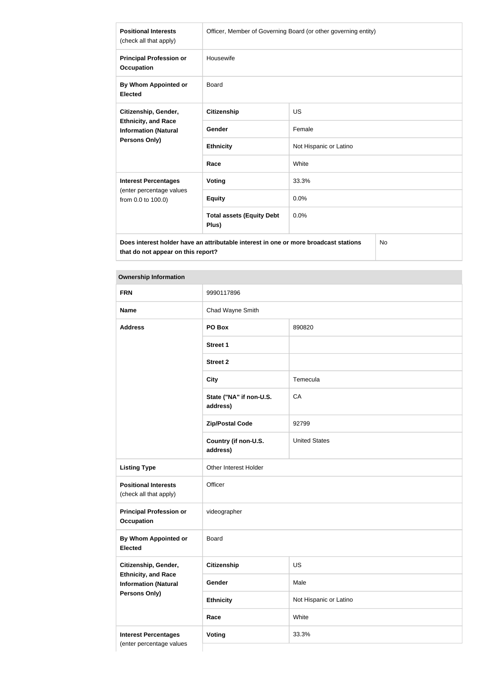| <b>Positional Interests</b><br>(check all that apply)                         | Officer, Member of Governing Board (or other governing entity) |                        |
|-------------------------------------------------------------------------------|----------------------------------------------------------------|------------------------|
| <b>Principal Profession or</b><br><b>Occupation</b>                           | Housewife                                                      |                        |
| By Whom Appointed or<br><b>Elected</b>                                        | Board                                                          |                        |
| Citizenship, Gender,                                                          | <b>Citizenship</b>                                             | <b>US</b>              |
| <b>Ethnicity, and Race</b><br><b>Information (Natural</b>                     | Gender                                                         | Female                 |
| <b>Persons Only)</b>                                                          | <b>Ethnicity</b>                                               | Not Hispanic or Latino |
|                                                                               | Race                                                           | White                  |
| <b>Interest Percentages</b><br>(enter percentage values<br>from 0.0 to 100.0) | <b>Voting</b>                                                  | 33.3%                  |
|                                                                               | <b>Equity</b>                                                  | 0.0%                   |
|                                                                               | <b>Total assets (Equity Debt</b><br>Plus)                      | 0.0%                   |
|                                                                               |                                                                |                        |

**Does interest holder have an attributable interest in one or more broadcast stations that do not appear on this report?**

No

# **Ownership Information**

| <b>FRN</b>                                                | 9990117896                          |                        |
|-----------------------------------------------------------|-------------------------------------|------------------------|
| <b>Name</b>                                               | Chad Wayne Smith                    |                        |
| <b>Address</b>                                            | PO Box<br>890820                    |                        |
|                                                           | <b>Street 1</b>                     |                        |
|                                                           | <b>Street 2</b>                     |                        |
|                                                           | <b>City</b>                         | Temecula               |
|                                                           | State ("NA" if non-U.S.<br>address) | CA                     |
|                                                           | <b>Zip/Postal Code</b>              | 92799                  |
|                                                           | Country (if non-U.S.<br>address)    | <b>United States</b>   |
| <b>Listing Type</b>                                       | Other Interest Holder               |                        |
| <b>Positional Interests</b><br>(check all that apply)     | Officer                             |                        |
| <b>Principal Profession or</b><br><b>Occupation</b>       | videographer                        |                        |
| By Whom Appointed or<br><b>Elected</b>                    | <b>Board</b>                        |                        |
| Citizenship, Gender,                                      | <b>Citizenship</b>                  | US                     |
| <b>Ethnicity, and Race</b><br><b>Information (Natural</b> | Gender                              | Male                   |
| Persons Only)                                             | <b>Ethnicity</b>                    | Not Hispanic or Latino |
|                                                           | Race                                | White                  |
| <b>Interest Percentages</b>                               | <b>Voting</b>                       | 33.3%                  |
| (enter percentage values                                  |                                     |                        |